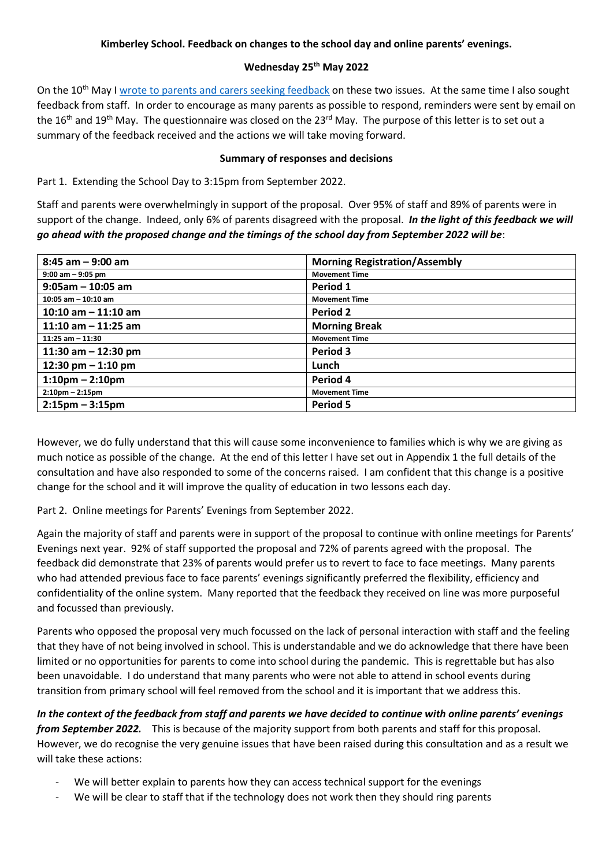## **Kimberley School. Feedback on changes to the school day and online parents' evenings.**

#### **Wednesday 25th May 2022**

On the 10<sup>th</sup> May I [wrote to parents and carers seeking feedback](https://www.kimberleyschool.co.uk/_files/ugd/b201da_501a5c8fe07941ae83e7281f2a6c0514.pdf) on these two issues. At the same time I also sought feedback from staff. In order to encourage as many parents as possible to respond, reminders were sent by email on the 16<sup>th</sup> and 19<sup>th</sup> May. The questionnaire was closed on the 23<sup>rd</sup> May. The purpose of this letter is to set out a summary of the feedback received and the actions we will take moving forward.

#### **Summary of responses and decisions**

Part 1. Extending the School Day to 3:15pm from September 2022.

Staff and parents were overwhelmingly in support of the proposal. Over 95% of staff and 89% of parents were in support of the change. Indeed, only 6% of parents disagreed with the proposal. *In the light of this feedback we will go ahead with the proposed change and the timings of the school day from September 2022 will be*:

| $8:45$ am $-9:00$ am   | <b>Morning Registration/Assembly</b> |
|------------------------|--------------------------------------|
| $9:00$ am $-9:05$ pm   | <b>Movement Time</b>                 |
| $9:05$ am - 10:05 am   | Period 1                             |
| $10:05$ am $-10:10$ am | <b>Movement Time</b>                 |
| 10:10 am $-$ 11:10 am  | Period 2                             |
| 11:10 am $-$ 11:25 am  | <b>Morning Break</b>                 |
| $11:25$ am $-11:30$    | <b>Movement Time</b>                 |
| 11:30 am $-$ 12:30 pm  | Period 3                             |
| 12:30 pm $-$ 1:10 pm   | Lunch                                |
| $1:10$ pm – 2:10pm     | Period 4                             |
| $2:10$ pm $- 2:15$ pm  | <b>Movement Time</b>                 |
| $2:15$ pm – 3:15pm     | Period 5                             |

However, we do fully understand that this will cause some inconvenience to families which is why we are giving as much notice as possible of the change. At the end of this letter I have set out in Appendix 1 the full details of the consultation and have also responded to some of the concerns raised. I am confident that this change is a positive change for the school and it will improve the quality of education in two lessons each day.

Part 2. Online meetings for Parents' Evenings from September 2022.

Again the majority of staff and parents were in support of the proposal to continue with online meetings for Parents' Evenings next year. 92% of staff supported the proposal and 72% of parents agreed with the proposal. The feedback did demonstrate that 23% of parents would prefer us to revert to face to face meetings. Many parents who had attended previous face to face parents' evenings significantly preferred the flexibility, efficiency and confidentiality of the online system. Many reported that the feedback they received on line was more purposeful and focussed than previously.

Parents who opposed the proposal very much focussed on the lack of personal interaction with staff and the feeling that they have of not being involved in school. This is understandable and we do acknowledge that there have been limited or no opportunities for parents to come into school during the pandemic. This is regrettable but has also been unavoidable. I do understand that many parents who were not able to attend in school events during transition from primary school will feel removed from the school and it is important that we address this.

*In the context of the feedback from staff and parents we have decided to continue with online parents' evenings from September 2022.* This is because of the majority support from both parents and staff for this proposal. However, we do recognise the very genuine issues that have been raised during this consultation and as a result we will take these actions:

- We will better explain to parents how they can access technical support for the evenings
- We will be clear to staff that if the technology does not work then they should ring parents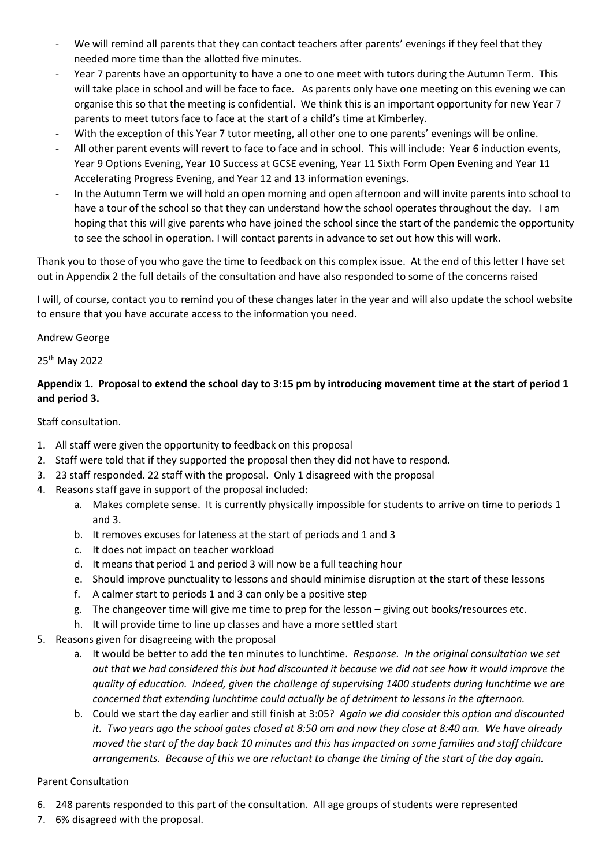- We will remind all parents that they can contact teachers after parents' evenings if they feel that they needed more time than the allotted five minutes.
- Year 7 parents have an opportunity to have a one to one meet with tutors during the Autumn Term. This will take place in school and will be face to face. As parents only have one meeting on this evening we can organise this so that the meeting is confidential. We think this is an important opportunity for new Year 7 parents to meet tutors face to face at the start of a child's time at Kimberley.
- With the exception of this Year 7 tutor meeting, all other one to one parents' evenings will be online.
- All other parent events will revert to face to face and in school. This will include: Year 6 induction events, Year 9 Options Evening, Year 10 Success at GCSE evening, Year 11 Sixth Form Open Evening and Year 11 Accelerating Progress Evening, and Year 12 and 13 information evenings.
- In the Autumn Term we will hold an open morning and open afternoon and will invite parents into school to have a tour of the school so that they can understand how the school operates throughout the day. I am hoping that this will give parents who have joined the school since the start of the pandemic the opportunity to see the school in operation. I will contact parents in advance to set out how this will work.

Thank you to those of you who gave the time to feedback on this complex issue. At the end of this letter I have set out in Appendix 2 the full details of the consultation and have also responded to some of the concerns raised

I will, of course, contact you to remind you of these changes later in the year and will also update the school website to ensure that you have accurate access to the information you need.

#### Andrew George

## 25th May 2022

# **Appendix 1. Proposal to extend the school day to 3:15 pm by introducing movement time at the start of period 1 and period 3.**

## Staff consultation.

- 1. All staff were given the opportunity to feedback on this proposal
- 2. Staff were told that if they supported the proposal then they did not have to respond.
- 3. 23 staff responded. 22 staff with the proposal. Only 1 disagreed with the proposal
- 4. Reasons staff gave in support of the proposal included:
	- a. Makes complete sense. It is currently physically impossible for students to arrive on time to periods 1 and 3.
	- b. It removes excuses for lateness at the start of periods and 1 and 3
	- c. It does not impact on teacher workload
	- d. It means that period 1 and period 3 will now be a full teaching hour
	- e. Should improve punctuality to lessons and should minimise disruption at the start of these lessons
	- f. A calmer start to periods 1 and 3 can only be a positive step
	- g. The changeover time will give me time to prep for the lesson giving out books/resources etc.
	- h. It will provide time to line up classes and have a more settled start
- 5. Reasons given for disagreeing with the proposal
	- a. It would be better to add the ten minutes to lunchtime. *Response. In the original consultation we set out that we had considered this but had discounted it because we did not see how it would improve the quality of education. Indeed, given the challenge of supervising 1400 students during lunchtime we are concerned that extending lunchtime could actually be of detriment to lessons in the afternoon.*
	- b. Could we start the day earlier and still finish at 3:05? *Again we did consider this option and discounted it. Two years ago the school gates closed at 8:50 am and now they close at 8:40 am. We have already moved the start of the day back 10 minutes and this has impacted on some families and staff childcare arrangements. Because of this we are reluctant to change the timing of the start of the day again.*

#### Parent Consultation

- 6. 248 parents responded to this part of the consultation. All age groups of students were represented
- 7. 6% disagreed with the proposal.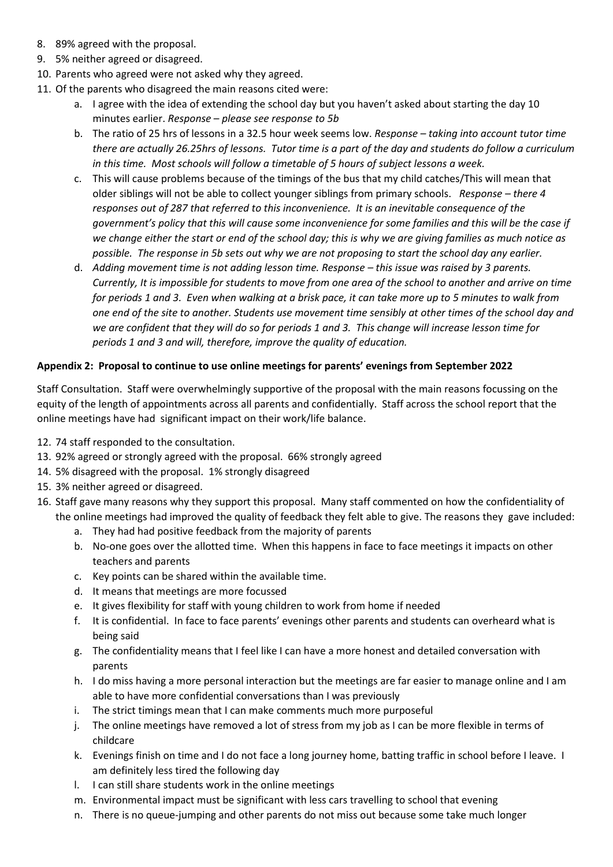- 8. 89% agreed with the proposal.
- 9. 5% neither agreed or disagreed.
- 10. Parents who agreed were not asked why they agreed.
- 11. Of the parents who disagreed the main reasons cited were:
	- a. I agree with the idea of extending the school day but you haven't asked about starting the day 10 minutes earlier. *Response – please see response to 5b*
	- b. The ratio of 25 hrs of lessons in a 32.5 hour week seems low. *Response – taking into account tutor time there are actually 26.25hrs of lessons. Tutor time is a part of the day and students do follow a curriculum in this time. Most schools will follow a timetable of 5 hours of subject lessons a week.*
	- c. This will cause problems because of the timings of the bus that my child catches/This will mean that older siblings will not be able to collect younger siblings from primary schools. *Response – there 4 responses out of 287 that referred to this inconvenience. It is an inevitable consequence of the government's policy that this will cause some inconvenience for some families and this will be the case if we change either the start or end of the school day; this is why we are giving families as much notice as possible. The response in 5b sets out why we are not proposing to start the school day any earlier.*
	- d. *Adding movement time is not adding lesson time. Response – this issue was raised by 3 parents. Currently, It is impossible for students to move from one area of the school to another and arrive on time for periods 1 and 3. Even when walking at a brisk pace, it can take more up to 5 minutes to walk from one end of the site to another. Students use movement time sensibly at other times of the school day and we are confident that they will do so for periods 1 and 3. This change will increase lesson time for periods 1 and 3 and will, therefore, improve the quality of education.*

## **Appendix 2: Proposal to continue to use online meetings for parents' evenings from September 2022**

Staff Consultation. Staff were overwhelmingly supportive of the proposal with the main reasons focussing on the equity of the length of appointments across all parents and confidentially. Staff across the school report that the online meetings have had significant impact on their work/life balance.

- 12. 74 staff responded to the consultation.
- 13. 92% agreed or strongly agreed with the proposal. 66% strongly agreed
- 14. 5% disagreed with the proposal. 1% strongly disagreed
- 15. 3% neither agreed or disagreed.
- 16. Staff gave many reasons why they support this proposal. Many staff commented on how the confidentiality of the online meetings had improved the quality of feedback they felt able to give. The reasons they gave included:
	- a. They had had positive feedback from the majority of parents
	- b. No-one goes over the allotted time. When this happens in face to face meetings it impacts on other teachers and parents
	- c. Key points can be shared within the available time.
	- d. It means that meetings are more focussed
	- e. It gives flexibility for staff with young children to work from home if needed
	- f. It is confidential. In face to face parents' evenings other parents and students can overheard what is being said
	- g. The confidentiality means that I feel like I can have a more honest and detailed conversation with parents
	- h. I do miss having a more personal interaction but the meetings are far easier to manage online and I am able to have more confidential conversations than I was previously
	- i. The strict timings mean that I can make comments much more purposeful
	- j. The online meetings have removed a lot of stress from my job as I can be more flexible in terms of childcare
	- k. Evenings finish on time and I do not face a long journey home, batting traffic in school before I leave. I am definitely less tired the following day
	- l. I can still share students work in the online meetings
	- m. Environmental impact must be significant with less cars travelling to school that evening
	- n. There is no queue-jumping and other parents do not miss out because some take much longer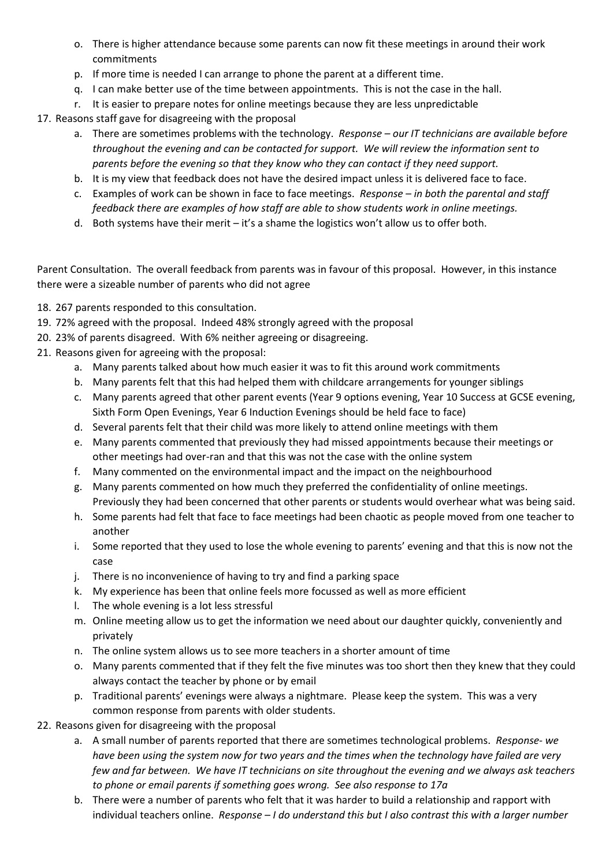- o. There is higher attendance because some parents can now fit these meetings in around their work commitments
- p. If more time is needed I can arrange to phone the parent at a different time.
- q. I can make better use of the time between appointments. This is not the case in the hall.
- r. It is easier to prepare notes for online meetings because they are less unpredictable

17. Reasons staff gave for disagreeing with the proposal

- a. There are sometimes problems with the technology. *Response – our IT technicians are available before throughout the evening and can be contacted for support. We will review the information sent to parents before the evening so that they know who they can contact if they need support.*
- b. It is my view that feedback does not have the desired impact unless it is delivered face to face.
- c. Examples of work can be shown in face to face meetings. *Response – in both the parental and staff feedback there are examples of how staff are able to show students work in online meetings.*
- d. Both systems have their merit it's a shame the logistics won't allow us to offer both.

Parent Consultation. The overall feedback from parents was in favour of this proposal. However, in this instance there were a sizeable number of parents who did not agree

- 18. 267 parents responded to this consultation.
- 19. 72% agreed with the proposal. Indeed 48% strongly agreed with the proposal
- 20. 23% of parents disagreed. With 6% neither agreeing or disagreeing.
- 21. Reasons given for agreeing with the proposal:
	- a. Many parents talked about how much easier it was to fit this around work commitments
	- b. Many parents felt that this had helped them with childcare arrangements for younger siblings
	- c. Many parents agreed that other parent events (Year 9 options evening, Year 10 Success at GCSE evening, Sixth Form Open Evenings, Year 6 Induction Evenings should be held face to face)
	- d. Several parents felt that their child was more likely to attend online meetings with them
	- e. Many parents commented that previously they had missed appointments because their meetings or other meetings had over-ran and that this was not the case with the online system
	- f. Many commented on the environmental impact and the impact on the neighbourhood
	- g. Many parents commented on how much they preferred the confidentiality of online meetings. Previously they had been concerned that other parents or students would overhear what was being said.
	- h. Some parents had felt that face to face meetings had been chaotic as people moved from one teacher to another
	- i. Some reported that they used to lose the whole evening to parents' evening and that this is now not the case
	- j. There is no inconvenience of having to try and find a parking space
	- k. My experience has been that online feels more focussed as well as more efficient
	- l. The whole evening is a lot less stressful
	- m. Online meeting allow us to get the information we need about our daughter quickly, conveniently and privately
	- n. The online system allows us to see more teachers in a shorter amount of time
	- o. Many parents commented that if they felt the five minutes was too short then they knew that they could always contact the teacher by phone or by email
	- p. Traditional parents' evenings were always a nightmare. Please keep the system. This was a very common response from parents with older students.
- 22. Reasons given for disagreeing with the proposal
	- a. A small number of parents reported that there are sometimes technological problems. *Response- we have been using the system now for two years and the times when the technology have failed are very few and far between. We have IT technicians on site throughout the evening and we always ask teachers to phone or email parents if something goes wrong. See also response to 17a*
	- b. There were a number of parents who felt that it was harder to build a relationship and rapport with individual teachers online. *Response – I do understand this but I also contrast this with a larger number*